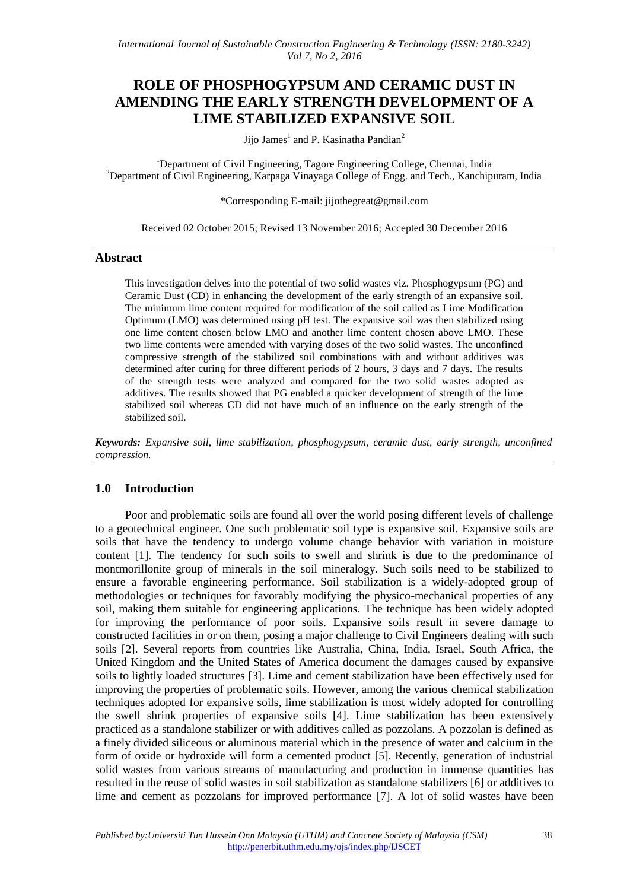# **ROLE OF PHOSPHOGYPSUM AND CERAMIC DUST IN AMENDING THE EARLY STRENGTH DEVELOPMENT OF A LIME STABILIZED EXPANSIVE SOIL**

Jijo James<sup>1</sup> and P. Kasinatha Pandian<sup>2</sup>

<sup>1</sup>Department of Civil Engineering, Tagore Engineering College, Chennai, India <sup>2</sup>Department of Civil Engineering, Karpaga Vinayaga College of Engg. and Tech., Kanchipuram, India

\*Corresponding E-mail: jijothegreat@gmail.com

Received 02 October 2015; Revised 13 November 2016; Accepted 30 December 2016

#### **Abstract**

This investigation delves into the potential of two solid wastes viz. Phosphogypsum (PG) and Ceramic Dust (CD) in enhancing the development of the early strength of an expansive soil. The minimum lime content required for modification of the soil called as Lime Modification Optimum (LMO) was determined using pH test. The expansive soil was then stabilized using one lime content chosen below LMO and another lime content chosen above LMO. These two lime contents were amended with varying doses of the two solid wastes. The unconfined compressive strength of the stabilized soil combinations with and without additives was determined after curing for three different periods of 2 hours, 3 days and 7 days. The results of the strength tests were analyzed and compared for the two solid wastes adopted as additives. The results showed that PG enabled a quicker development of strength of the lime stabilized soil whereas CD did not have much of an influence on the early strength of the stabilized soil.

*Keywords: Expansive soil, lime stabilization, phosphogypsum, ceramic dust, early strength, unconfined compression.*

### **1.0 Introduction**

Poor and problematic soils are found all over the world posing different levels of challenge to a geotechnical engineer. One such problematic soil type is expansive soil. Expansive soils are soils that have the tendency to undergo volume change behavior with variation in moisture content [1]. The tendency for such soils to swell and shrink is due to the predominance of montmorillonite group of minerals in the soil mineralogy. Such soils need to be stabilized to ensure a favorable engineering performance. Soil stabilization is a widely-adopted group of methodologies or techniques for favorably modifying the physico-mechanical properties of any soil, making them suitable for engineering applications. The technique has been widely adopted for improving the performance of poor soils. Expansive soils result in severe damage to constructed facilities in or on them, posing a major challenge to Civil Engineers dealing with such soils [2]. Several reports from countries like Australia, China, India, Israel, South Africa, the United Kingdom and the United States of America document the damages caused by expansive soils to lightly loaded structures [3]. Lime and cement stabilization have been effectively used for improving the properties of problematic soils. However, among the various chemical stabilization techniques adopted for expansive soils, lime stabilization is most widely adopted for controlling the swell shrink properties of expansive soils [4]. Lime stabilization has been extensively practiced as a standalone stabilizer or with additives called as pozzolans. A pozzolan is defined as a finely divided siliceous or aluminous material which in the presence of water and calcium in the form of oxide or hydroxide will form a cemented product [5]. Recently, generation of industrial solid wastes from various streams of manufacturing and production in immense quantities has resulted in the reuse of solid wastes in soil stabilization as standalone stabilizers [6] or additives to lime and cement as pozzolans for improved performance [7]. A lot of solid wastes have been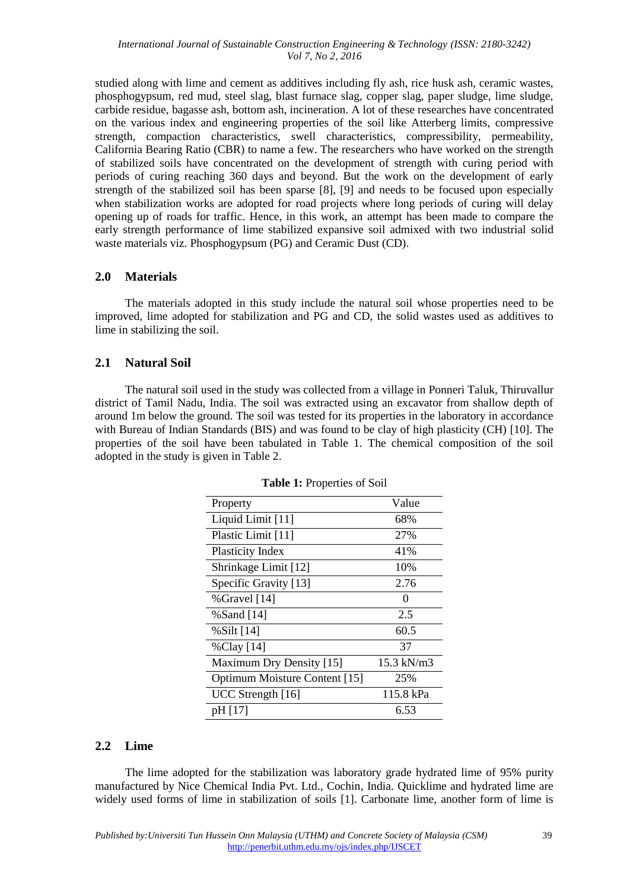*International Journal of Sustainable Construction Engineering & Technology (ISSN: 2180-3242) Vol 7, No 2, 2016*

studied along with lime and cement as additives including fly ash, rice husk ash, ceramic wastes, phosphogypsum, red mud, steel slag, blast furnace slag, copper slag, paper sludge, lime sludge, carbide residue, bagasse ash, bottom ash, incineration. A lot of these researches have concentrated on the various index and engineering properties of the soil like Atterberg limits, compressive strength, compaction characteristics, swell characteristics, compressibility, permeability, California Bearing Ratio (CBR) to name a few. The researchers who have worked on the strength of stabilized soils have concentrated on the development of strength with curing period with periods of curing reaching 360 days and beyond. But the work on the development of early strength of the stabilized soil has been sparse [8], [9] and needs to be focused upon especially when stabilization works are adopted for road projects where long periods of curing will delay opening up of roads for traffic. Hence, in this work, an attempt has been made to compare the early strength performance of lime stabilized expansive soil admixed with two industrial solid waste materials viz. Phosphogypsum (PG) and Ceramic Dust (CD).

#### **2.0 Materials**

The materials adopted in this study include the natural soil whose properties need to be improved, lime adopted for stabilization and PG and CD, the solid wastes used as additives to lime in stabilizing the soil.

#### **2.1 Natural Soil**

The natural soil used in the study was collected from a village in Ponneri Taluk, Thiruvallur district of Tamil Nadu, India. The soil was extracted using an excavator from shallow depth of around 1m below the ground. The soil was tested for its properties in the laboratory in accordance with Bureau of Indian Standards (BIS) and was found to be clay of high plasticity (CH) [10]. The properties of the soil have been tabulated in Table 1. The chemical composition of the soil adopted in the study is given in Table 2.

| Property                      | Value      |
|-------------------------------|------------|
| Liquid Limit [11]             | 68%        |
| Plastic Limit [11]            | 27%        |
| <b>Plasticity Index</b>       | 41%        |
| Shrinkage Limit [12]          | 10%        |
| Specific Gravity [13]         | 2.76       |
| %Gravel [14]                  | $\Omega$   |
| %Sand [14]                    | 2.5        |
| %Silt [14]                    | 60.5       |
| %Clay $[14]$                  | 37         |
| Maximum Dry Density [15]      | 15.3 kN/m3 |
| Optimum Moisture Content [15] | 25%        |
| UCC Strength [16]             | 115.8 kPa  |
| pH [17]                       | 6.53       |

**Table 1:** Properties of Soil

#### **2.2 Lime**

The lime adopted for the stabilization was laboratory grade hydrated lime of 95% purity manufactured by Nice Chemical India Pvt. Ltd., Cochin, India. Quicklime and hydrated lime are widely used forms of lime in stabilization of soils [1]. Carbonate lime, another form of lime is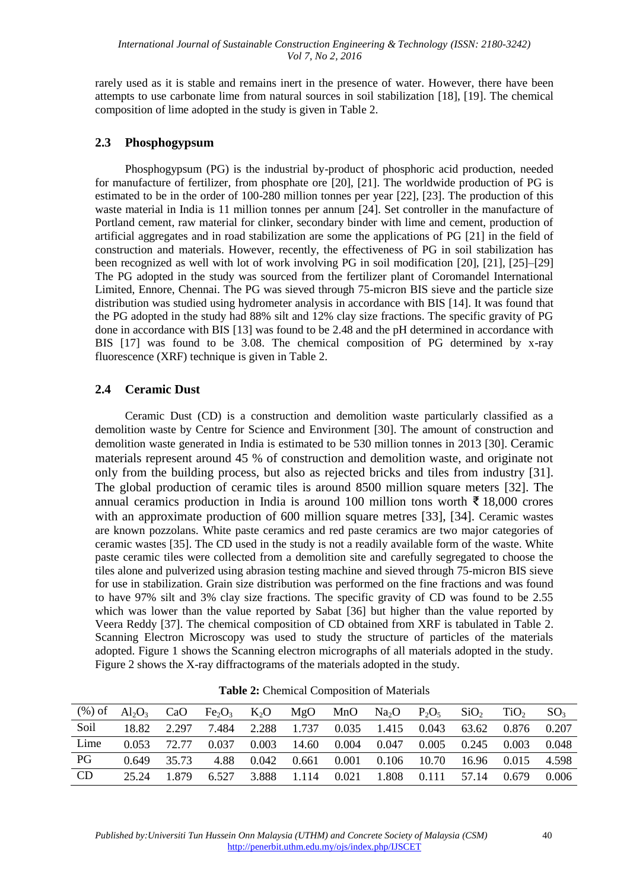rarely used as it is stable and remains inert in the presence of water. However, there have been attempts to use carbonate lime from natural sources in soil stabilization [18], [19]. The chemical composition of lime adopted in the study is given in Table 2.

### **2.3 Phosphogypsum**

Phosphogypsum (PG) is the industrial by-product of phosphoric acid production, needed for manufacture of fertilizer, from phosphate ore [20], [21]. The worldwide production of PG is estimated to be in the order of 100-280 million tonnes per year [22], [23]. The production of this waste material in India is 11 million tonnes per annum [24]. Set controller in the manufacture of Portland cement, raw material for clinker, secondary binder with lime and cement, production of artificial aggregates and in road stabilization are some the applications of PG [21] in the field of construction and materials. However, recently, the effectiveness of PG in soil stabilization has been recognized as well with lot of work involving PG in soil modification [20], [21], [25]–[29] The PG adopted in the study was sourced from the fertilizer plant of Coromandel International Limited, Ennore, Chennai. The PG was sieved through 75-micron BIS sieve and the particle size distribution was studied using hydrometer analysis in accordance with BIS [14]. It was found that the PG adopted in the study had 88% silt and 12% clay size fractions. The specific gravity of PG done in accordance with BIS [13] was found to be 2.48 and the pH determined in accordance with BIS [17] was found to be 3.08. The chemical composition of PG determined by x-ray fluorescence (XRF) technique is given in Table 2.

## **2.4 Ceramic Dust**

Ceramic Dust (CD) is a construction and demolition waste particularly classified as a demolition waste by Centre for Science and Environment [30]. The amount of construction and demolition waste generated in India is estimated to be 530 million tonnes in 2013 [30]. Ceramic materials represent around 45 % of construction and demolition waste, and originate not only from the building process, but also as rejected bricks and tiles from industry [31]. The global production of ceramic tiles is around 8500 million square meters [32]. The annual ceramics production in India is around 100 million tons worth ₹ 18,000 crores with an approximate production of 600 million square metres [33], [34]. Ceramic wastes are known pozzolans. White paste ceramics and red paste ceramics are two major categories of ceramic wastes [35]. The CD used in the study is not a readily available form of the waste. White paste ceramic tiles were collected from a demolition site and carefully segregated to choose the tiles alone and pulverized using abrasion testing machine and sieved through 75-micron BIS sieve for use in stabilization. Grain size distribution was performed on the fine fractions and was found to have 97% silt and 3% clay size fractions. The specific gravity of CD was found to be 2.55 which was lower than the value reported by Sabat [36] but higher than the value reported by Veera Reddy [37]. The chemical composition of CD obtained from XRF is tabulated in Table 2. Scanning Electron Microscopy was used to study the structure of particles of the materials adopted. Figure 1 shows the Scanning electron micrographs of all materials adopted in the study. Figure 2 shows the X-ray diffractograms of the materials adopted in the study.

| $(\%)$ of | $Al_2O_3$ | CaO   | Fe <sub>2</sub> O <sub>3</sub> | $K_2O$ | MgO   | MnO   | Na <sub>2</sub> O | $P_2O_5$ | SiO <sub>2</sub> | TiO <sub>2</sub> | SO <sub>3</sub> |
|-----------|-----------|-------|--------------------------------|--------|-------|-------|-------------------|----------|------------------|------------------|-----------------|
| Soil      | 18.82     | 2.297 | 7.484                          | 2.288  | 1.737 | 0.035 | 1.415             | 0.043    | 63.62            | 0.876            | 0.207           |
| Lime      | 0.053     | 72.77 | 0.037                          | 0.003  | 14.60 | 0.004 | 0.047             | 0.005    | 0.245            | 0.003            | 0.048           |
| PG        | 0.649     | 35.73 | 4.88                           | 0.042  | 0.661 | 0.001 | 0.106             | 10.70    | 16.96            | 0.015            | 4.598           |
| <b>CD</b> | 25.24     | 1879  | 6.527                          | 3.888  | 1.114 | 0.021 | .808              | 0.111    | 57.14            | 0.679            | 0.006           |

**Table 2:** Chemical Composition of Materials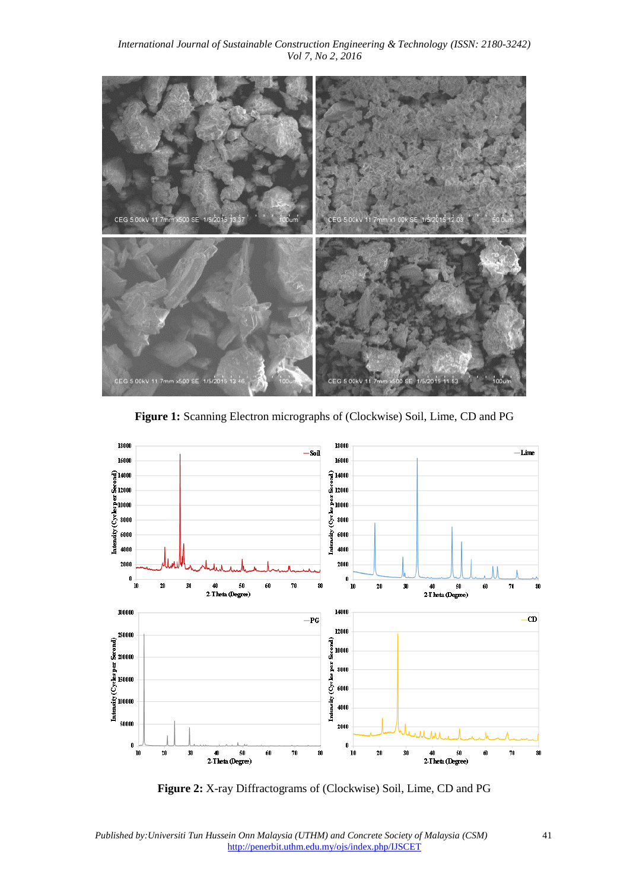*International Journal of Sustainable Construction Engineering & Technology (ISSN: 2180-3242) Vol 7, No 2, 2016*



**Figure 1:** Scanning Electron micrographs of (Clockwise) Soil, Lime, CD and PG



**Figure 2:** X-ray Diffractograms of (Clockwise) Soil, Lime, CD and PG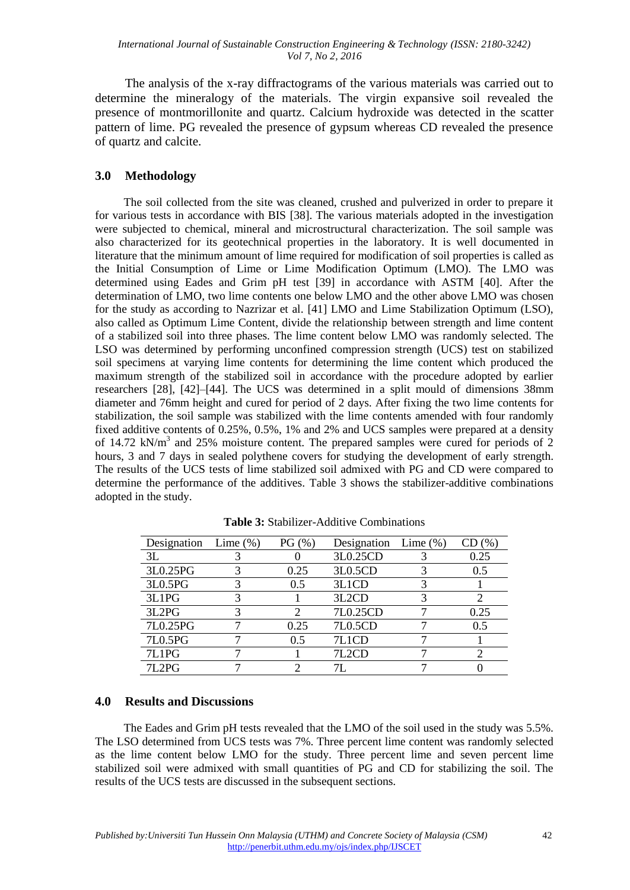The analysis of the x-ray diffractograms of the various materials was carried out to determine the mineralogy of the materials. The virgin expansive soil revealed the presence of montmorillonite and quartz. Calcium hydroxide was detected in the scatter pattern of lime. PG revealed the presence of gypsum whereas CD revealed the presence of quartz and calcite.

### **3.0 Methodology**

The soil collected from the site was cleaned, crushed and pulverized in order to prepare it for various tests in accordance with BIS [38]. The various materials adopted in the investigation were subjected to chemical, mineral and microstructural characterization. The soil sample was also characterized for its geotechnical properties in the laboratory. It is well documented in literature that the minimum amount of lime required for modification of soil properties is called as the Initial Consumption of Lime or Lime Modification Optimum (LMO). The LMO was determined using Eades and Grim pH test [39] in accordance with ASTM [40]. After the determination of LMO, two lime contents one below LMO and the other above LMO was chosen for the study as according to Nazrizar et al. [41] LMO and Lime Stabilization Optimum (LSO), also called as Optimum Lime Content, divide the relationship between strength and lime content of a stabilized soil into three phases. The lime content below LMO was randomly selected. The LSO was determined by performing unconfined compression strength (UCS) test on stabilized soil specimens at varying lime contents for determining the lime content which produced the maximum strength of the stabilized soil in accordance with the procedure adopted by earlier researchers [28], [42]–[44]. The UCS was determined in a split mould of dimensions 38mm diameter and 76mm height and cured for period of 2 days. After fixing the two lime contents for stabilization, the soil sample was stabilized with the lime contents amended with four randomly fixed additive contents of 0.25%, 0.5%, 1% and 2% and UCS samples were prepared at a density of 14.72  $kN/m<sup>3</sup>$  and 25% moisture content. The prepared samples were cured for periods of 2 hours, 3 and 7 days in sealed polythene covers for studying the development of early strength. The results of the UCS tests of lime stabilized soil admixed with PG and CD were compared to determine the performance of the additives. Table 3 shows the stabilizer-additive combinations adopted in the study.

| Designation Lime $(\%)$ |   | PG(%) | Designation | Lime $(\% )$ | CD (%) |
|-------------------------|---|-------|-------------|--------------|--------|
| 3L                      |   |       | 3L0.25CD    |              | 0.25   |
| 3L0.25PG                |   | 0.25  | 3L0.5CD     |              | 0.5    |
| 3L0.5PG                 | 3 | 0.5   | 3L1CD       |              |        |
| 3L1PG                   |   |       | 3L2CD       |              |        |
| 3L2PG                   |   |       | 7L0.25CD    |              | 0.25   |
| 7L0.25PG                |   | 0.25  | 7L0.5CD     |              | 0.5    |
| 7L0.5PG                 |   | 0.5   | 7L1CD       |              |        |
| 7L1PG                   |   |       | 7L2CD       |              |        |
| 7L2PG                   |   |       |             |              |        |

**Table 3:** Stabilizer-Additive Combinations

### **4.0 Results and Discussions**

The Eades and Grim pH tests revealed that the LMO of the soil used in the study was 5.5%. The LSO determined from UCS tests was 7%. Three percent lime content was randomly selected as the lime content below LMO for the study. Three percent lime and seven percent lime stabilized soil were admixed with small quantities of PG and CD for stabilizing the soil. The results of the UCS tests are discussed in the subsequent sections.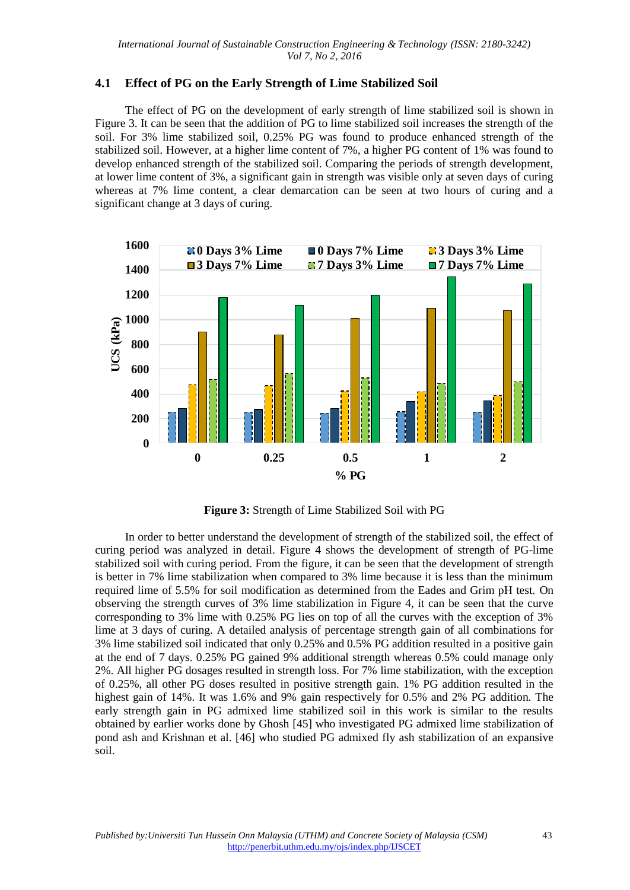### **4.1 Effect of PG on the Early Strength of Lime Stabilized Soil**

The effect of PG on the development of early strength of lime stabilized soil is shown in Figure 3. It can be seen that the addition of PG to lime stabilized soil increases the strength of the soil. For 3% lime stabilized soil, 0.25% PG was found to produce enhanced strength of the stabilized soil. However, at a higher lime content of 7%, a higher PG content of 1% was found to develop enhanced strength of the stabilized soil. Comparing the periods of strength development, at lower lime content of 3%, a significant gain in strength was visible only at seven days of curing whereas at 7% lime content, a clear demarcation can be seen at two hours of curing and a significant change at 3 days of curing.



**Figure 3:** Strength of Lime Stabilized Soil with PG

In order to better understand the development of strength of the stabilized soil, the effect of curing period was analyzed in detail. Figure 4 shows the development of strength of PG-lime stabilized soil with curing period. From the figure, it can be seen that the development of strength is better in 7% lime stabilization when compared to 3% lime because it is less than the minimum required lime of 5.5% for soil modification as determined from the Eades and Grim pH test. On observing the strength curves of 3% lime stabilization in Figure 4, it can be seen that the curve corresponding to 3% lime with 0.25% PG lies on top of all the curves with the exception of 3% lime at 3 days of curing. A detailed analysis of percentage strength gain of all combinations for 3% lime stabilized soil indicated that only 0.25% and 0.5% PG addition resulted in a positive gain at the end of 7 days. 0.25% PG gained 9% additional strength whereas 0.5% could manage only 2%. All higher PG dosages resulted in strength loss. For 7% lime stabilization, with the exception of 0.25%, all other PG doses resulted in positive strength gain. 1% PG addition resulted in the highest gain of 14%. It was 1.6% and 9% gain respectively for 0.5% and 2% PG addition. The early strength gain in PG admixed lime stabilized soil in this work is similar to the results obtained by earlier works done by Ghosh [45] who investigated PG admixed lime stabilization of pond ash and Krishnan et al. [46] who studied PG admixed fly ash stabilization of an expansive soil.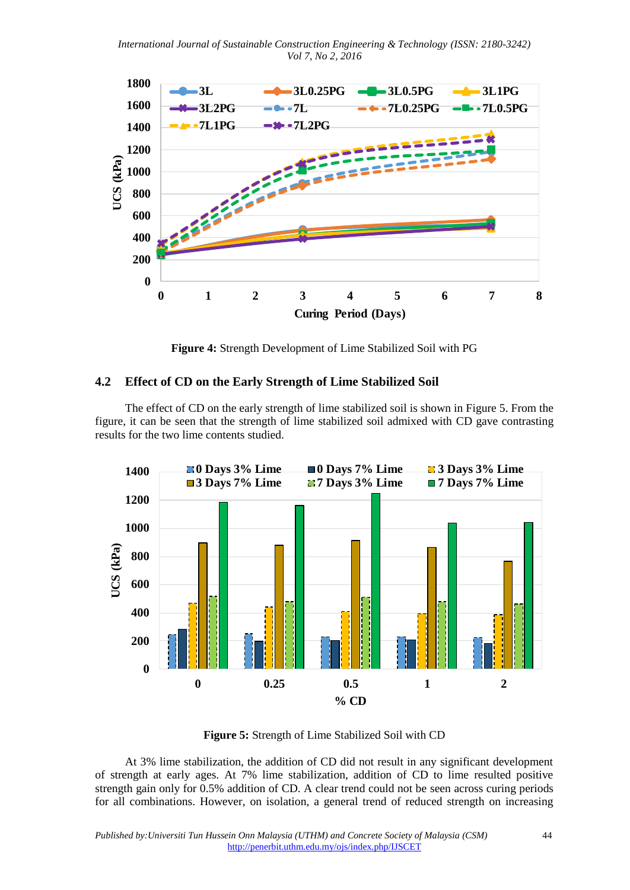

**Figure 4:** Strength Development of Lime Stabilized Soil with PG

### **4.2 Effect of CD on the Early Strength of Lime Stabilized Soil**

The effect of CD on the early strength of lime stabilized soil is shown in Figure 5. From the figure, it can be seen that the strength of lime stabilized soil admixed with CD gave contrasting results for the two lime contents studied.



**Figure 5:** Strength of Lime Stabilized Soil with CD

At 3% lime stabilization, the addition of CD did not result in any significant development of strength at early ages. At 7% lime stabilization, addition of CD to lime resulted positive strength gain only for 0.5% addition of CD. A clear trend could not be seen across curing periods for all combinations. However, on isolation, a general trend of reduced strength on increasing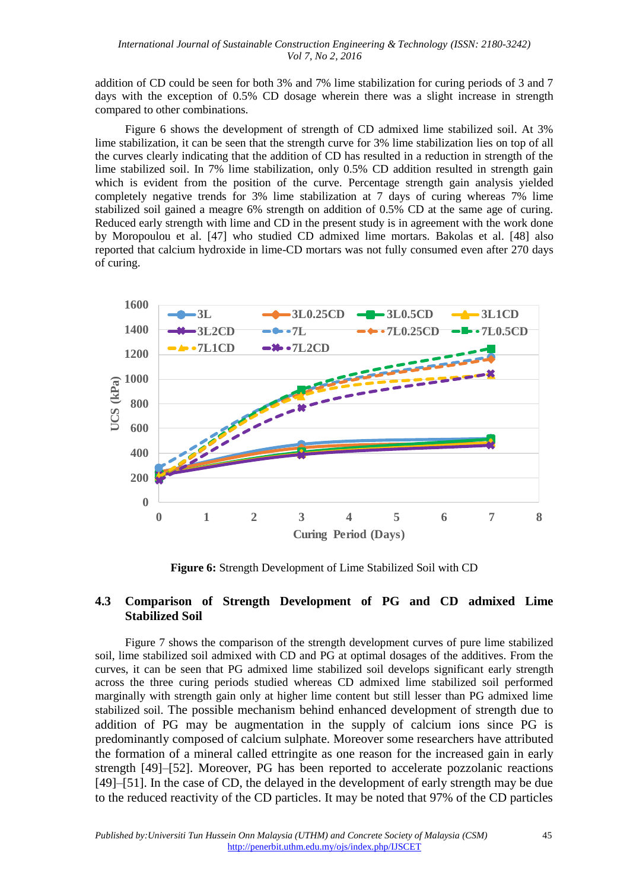addition of CD could be seen for both 3% and 7% lime stabilization for curing periods of 3 and 7 days with the exception of 0.5% CD dosage wherein there was a slight increase in strength compared to other combinations.

Figure 6 shows the development of strength of CD admixed lime stabilized soil. At 3% lime stabilization, it can be seen that the strength curve for 3% lime stabilization lies on top of all the curves clearly indicating that the addition of CD has resulted in a reduction in strength of the lime stabilized soil. In 7% lime stabilization, only 0.5% CD addition resulted in strength gain which is evident from the position of the curve. Percentage strength gain analysis yielded completely negative trends for 3% lime stabilization at 7 days of curing whereas 7% lime stabilized soil gained a meagre 6% strength on addition of 0.5% CD at the same age of curing. Reduced early strength with lime and CD in the present study is in agreement with the work done by Moropoulou et al. [47] who studied CD admixed lime mortars. Bakolas et al. [48] also reported that calcium hydroxide in lime-CD mortars was not fully consumed even after 270 days of curing.



**Figure 6:** Strength Development of Lime Stabilized Soil with CD

### **4.3 Comparison of Strength Development of PG and CD admixed Lime Stabilized Soil**

Figure 7 shows the comparison of the strength development curves of pure lime stabilized soil, lime stabilized soil admixed with CD and PG at optimal dosages of the additives. From the curves, it can be seen that PG admixed lime stabilized soil develops significant early strength across the three curing periods studied whereas CD admixed lime stabilized soil performed marginally with strength gain only at higher lime content but still lesser than PG admixed lime stabilized soil. The possible mechanism behind enhanced development of strength due to addition of PG may be augmentation in the supply of calcium ions since PG is predominantly composed of calcium sulphate. Moreover some researchers have attributed the formation of a mineral called ettringite as one reason for the increased gain in early strength [49]–[52]. Moreover, PG has been reported to accelerate pozzolanic reactions [49]–[51]. In the case of CD, the delayed in the development of early strength may be due to the reduced reactivity of the CD particles. It may be noted that 97% of the CD particles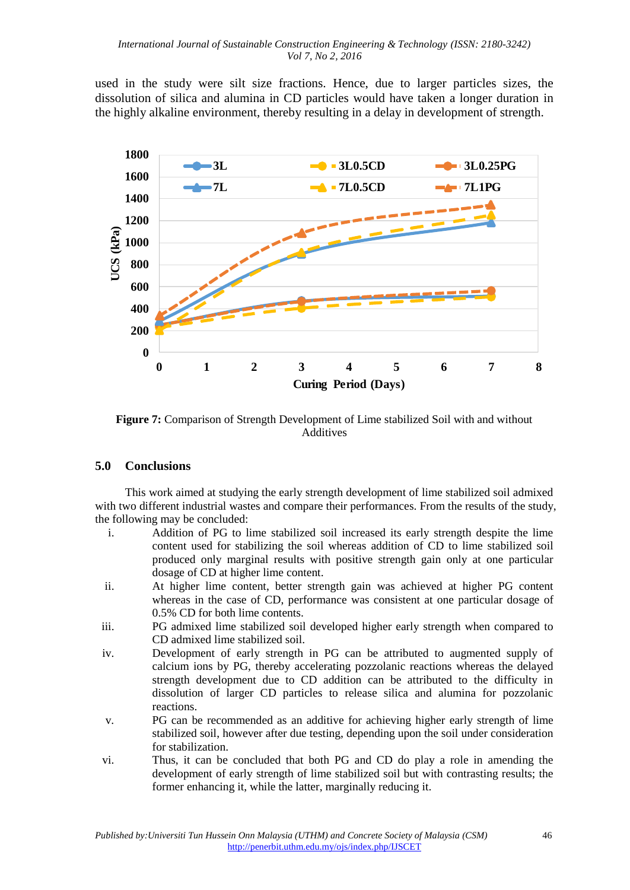used in the study were silt size fractions. Hence, due to larger particles sizes, the dissolution of silica and alumina in CD particles would have taken a longer duration in the highly alkaline environment, thereby resulting in a delay in development of strength.



**Figure 7:** Comparison of Strength Development of Lime stabilized Soil with and without Additives

### **5.0 Conclusions**

This work aimed at studying the early strength development of lime stabilized soil admixed with two different industrial wastes and compare their performances. From the results of the study, the following may be concluded:

- i. Addition of PG to lime stabilized soil increased its early strength despite the lime content used for stabilizing the soil whereas addition of CD to lime stabilized soil produced only marginal results with positive strength gain only at one particular dosage of CD at higher lime content.
- ii. At higher lime content, better strength gain was achieved at higher PG content whereas in the case of CD, performance was consistent at one particular dosage of 0.5% CD for both lime contents.
- iii. PG admixed lime stabilized soil developed higher early strength when compared to CD admixed lime stabilized soil.
- iv. Development of early strength in PG can be attributed to augmented supply of calcium ions by PG, thereby accelerating pozzolanic reactions whereas the delayed strength development due to CD addition can be attributed to the difficulty in dissolution of larger CD particles to release silica and alumina for pozzolanic reactions.
- v. PG can be recommended as an additive for achieving higher early strength of lime stabilized soil, however after due testing, depending upon the soil under consideration for stabilization.
- vi. Thus, it can be concluded that both PG and CD do play a role in amending the development of early strength of lime stabilized soil but with contrasting results; the former enhancing it, while the latter, marginally reducing it.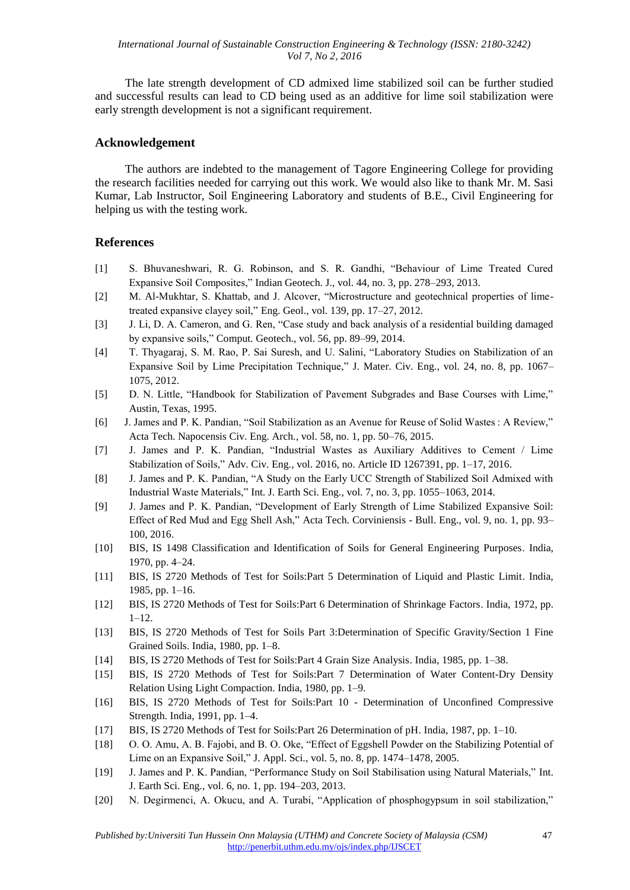The late strength development of CD admixed lime stabilized soil can be further studied and successful results can lead to CD being used as an additive for lime soil stabilization were early strength development is not a significant requirement.

#### **Acknowledgement**

The authors are indebted to the management of Tagore Engineering College for providing the research facilities needed for carrying out this work. We would also like to thank Mr. M. Sasi Kumar, Lab Instructor, Soil Engineering Laboratory and students of B.E., Civil Engineering for helping us with the testing work.

#### **References**

- [1] S. Bhuvaneshwari, R. G. Robinson, and S. R. Gandhi, "Behaviour of Lime Treated Cured Expansive Soil Composites," Indian Geotech. J., vol. 44, no. 3, pp. 278–293, 2013.
- [2] M. Al-Mukhtar, S. Khattab, and J. Alcover, "Microstructure and geotechnical properties of limetreated expansive clayey soil," Eng. Geol., vol. 139, pp. 17–27, 2012.
- [3] J. Li, D. A. Cameron, and G. Ren, "Case study and back analysis of a residential building damaged by expansive soils," Comput. Geotech., vol. 56, pp. 89–99, 2014.
- [4] T. Thyagaraj, S. M. Rao, P. Sai Suresh, and U. Salini, "Laboratory Studies on Stabilization of an Expansive Soil by Lime Precipitation Technique," J. Mater. Civ. Eng., vol. 24, no. 8, pp. 1067– 1075, 2012.
- [5] D. N. Little, "Handbook for Stabilization of Pavement Subgrades and Base Courses with Lime," Austin, Texas, 1995.
- [6] J. James and P. K. Pandian, "Soil Stabilization as an Avenue for Reuse of Solid Wastes : A Review," Acta Tech. Napocensis Civ. Eng. Arch., vol. 58, no. 1, pp. 50–76, 2015.
- [7] J. James and P. K. Pandian, "Industrial Wastes as Auxiliary Additives to Cement / Lime Stabilization of Soils," Adv. Civ. Eng., vol. 2016, no. Article ID 1267391, pp. 1–17, 2016.
- [8] J. James and P. K. Pandian, "A Study on the Early UCC Strength of Stabilized Soil Admixed with Industrial Waste Materials," Int. J. Earth Sci. Eng., vol. 7, no. 3, pp. 1055–1063, 2014.
- [9] J. James and P. K. Pandian, "Development of Early Strength of Lime Stabilized Expansive Soil: Effect of Red Mud and Egg Shell Ash," Acta Tech. Corviniensis - Bull. Eng., vol. 9, no. 1, pp. 93– 100, 2016.
- [10] BIS, IS 1498 Classification and Identification of Soils for General Engineering Purposes. India, 1970, pp. 4–24.
- [11] BIS, IS 2720 Methods of Test for Soils:Part 5 Determination of Liquid and Plastic Limit. India, 1985, pp. 1–16.
- [12] BIS, IS 2720 Methods of Test for Soils:Part 6 Determination of Shrinkage Factors. India, 1972, pp. 1–12.
- [13] BIS, IS 2720 Methods of Test for Soils Part 3:Determination of Specific Gravity/Section 1 Fine Grained Soils. India, 1980, pp. 1–8.
- [14] BIS, IS 2720 Methods of Test for Soils:Part 4 Grain Size Analysis. India, 1985, pp. 1–38.
- [15] BIS, IS 2720 Methods of Test for Soils:Part 7 Determination of Water Content-Dry Density Relation Using Light Compaction. India, 1980, pp. 1–9.
- [16] BIS, IS 2720 Methods of Test for Soils:Part 10 Determination of Unconfined Compressive Strength. India, 1991, pp. 1–4.
- [17] BIS, IS 2720 Methods of Test for Soils:Part 26 Determination of pH. India, 1987, pp. 1–10.
- [18] O. O. Amu, A. B. Fajobi, and B. O. Oke, "Effect of Eggshell Powder on the Stabilizing Potential of Lime on an Expansive Soil," J. Appl. Sci., vol. 5, no. 8, pp. 1474–1478, 2005.
- [19] J. James and P. K. Pandian, "Performance Study on Soil Stabilisation using Natural Materials," Int. J. Earth Sci. Eng., vol. 6, no. 1, pp. 194–203, 2013.
- [20] N. Degirmenci, A. Okucu, and A. Turabi, "Application of phosphogypsum in soil stabilization,"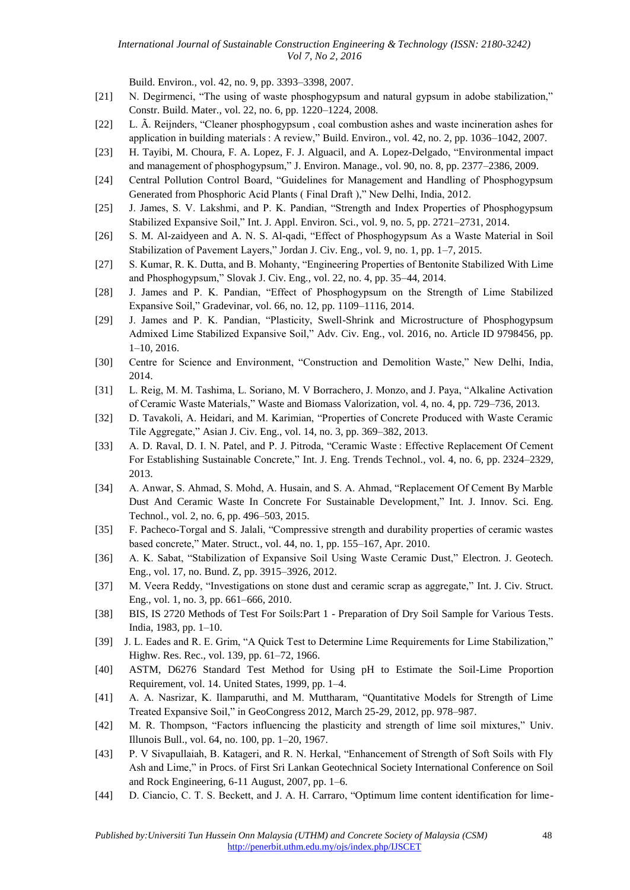#### *International Journal of Sustainable Construction Engineering & Technology (ISSN: 2180-3242) Vol 7, No 2, 2016*

Build. Environ., vol. 42, no. 9, pp. 3393–3398, 2007.

- [21] N. Degirmenci, "The using of waste phosphogypsum and natural gypsum in adobe stabilization," Constr. Build. Mater., vol. 22, no. 6, pp. 1220–1224, 2008.
- [22] L. Ã. Reijnders, "Cleaner phosphogypsum , coal combustion ashes and waste incineration ashes for application in building materials : A review," Build. Environ., vol. 42, no. 2, pp. 1036–1042, 2007.
- [23] H. Tayibi, M. Choura, F. A. Lopez, F. J. Alguacil, and A. Lopez-Delgado, "Environmental impact and management of phosphogypsum," J. Environ. Manage., vol. 90, no. 8, pp. 2377–2386, 2009.
- [24] Central Pollution Control Board, "Guidelines for Management and Handling of Phosphogypsum Generated from Phosphoric Acid Plants ( Final Draft )," New Delhi, India, 2012.
- [25] J. James, S. V. Lakshmi, and P. K. Pandian, "Strength and Index Properties of Phosphogypsum Stabilized Expansive Soil," Int. J. Appl. Environ. Sci., vol. 9, no. 5, pp. 2721–2731, 2014.
- [26] S. M. Al-zaidyeen and A. N. S. Al-qadi, "Effect of Phosphogypsum As a Waste Material in Soil Stabilization of Pavement Layers," Jordan J. Civ. Eng., vol. 9, no. 1, pp. 1–7, 2015.
- [27] S. Kumar, R. K. Dutta, and B. Mohanty, "Engineering Properties of Bentonite Stabilized With Lime and Phosphogypsum," Slovak J. Civ. Eng., vol. 22, no. 4, pp. 35–44, 2014.
- [28] J. James and P. K. Pandian, "Effect of Phosphogypsum on the Strength of Lime Stabilized Expansive Soil," Gradevinar, vol. 66, no. 12, pp. 1109–1116, 2014.
- [29] J. James and P. K. Pandian, "Plasticity, Swell-Shrink and Microstructure of Phosphogypsum Admixed Lime Stabilized Expansive Soil," Adv. Civ. Eng., vol. 2016, no. Article ID 9798456, pp. 1–10, 2016.
- [30] Centre for Science and Environment, "Construction and Demolition Waste," New Delhi, India, 2014.
- [31] L. Reig, M. M. Tashima, L. Soriano, M. V Borrachero, J. Monzo, and J. Paya, "Alkaline Activation of Ceramic Waste Materials," Waste and Biomass Valorization, vol. 4, no. 4, pp. 729–736, 2013.
- [32] D. Tavakoli, A. Heidari, and M. Karimian, "Properties of Concrete Produced with Waste Ceramic Tile Aggregate," Asian J. Civ. Eng., vol. 14, no. 3, pp. 369–382, 2013.
- [33] A. D. Raval, D. I. N. Patel, and P. J. Pitroda, "Ceramic Waste : Effective Replacement Of Cement For Establishing Sustainable Concrete," Int. J. Eng. Trends Technol., vol. 4, no. 6, pp. 2324–2329, 2013.
- [34] A. Anwar, S. Ahmad, S. Mohd, A. Husain, and S. A. Ahmad, "Replacement Of Cement By Marble Dust And Ceramic Waste In Concrete For Sustainable Development," Int. J. Innov. Sci. Eng. Technol., vol. 2, no. 6, pp. 496–503, 2015.
- [35] F. Pacheco-Torgal and S. Jalali, "Compressive strength and durability properties of ceramic wastes based concrete," Mater. Struct., vol. 44, no. 1, pp. 155–167, Apr. 2010.
- [36] A. K. Sabat, "Stabilization of Expansive Soil Using Waste Ceramic Dust," Electron. J. Geotech. Eng., vol. 17, no. Bund. Z, pp. 3915–3926, 2012.
- [37] M. Veera Reddy, "Investigations on stone dust and ceramic scrap as aggregate," Int. J. Civ. Struct. Eng., vol. 1, no. 3, pp. 661–666, 2010.
- [38] BIS, IS 2720 Methods of Test For Soils:Part 1 Preparation of Dry Soil Sample for Various Tests. India, 1983, pp. 1–10.
- [39] J. L. Eades and R. E. Grim, "A Quick Test to Determine Lime Requirements for Lime Stabilization," Highw. Res. Rec., vol. 139, pp. 61–72, 1966.
- [40] ASTM, D6276 Standard Test Method for Using pH to Estimate the Soil-Lime Proportion Requirement, vol. 14. United States, 1999, pp. 1–4.
- [41] A. A. Nasrizar, K. Ilamparuthi, and M. Muttharam, "Quantitative Models for Strength of Lime Treated Expansive Soil," in GeoCongress 2012, March 25-29, 2012, pp. 978–987.
- [42] M. R. Thompson, "Factors influencing the plasticity and strength of lime soil mixtures," Univ. Illunois Bull., vol. 64, no. 100, pp. 1–20, 1967.
- [43] P. V Sivapullaiah, B. Katageri, and R. N. Herkal, "Enhancement of Strength of Soft Soils with Fly Ash and Lime," in Procs. of First Sri Lankan Geotechnical Society International Conference on Soil and Rock Engineering, 6-11 August, 2007, pp. 1–6.
- [44] D. Ciancio, C. T. S. Beckett, and J. A. H. Carraro, "Optimum lime content identification for lime-